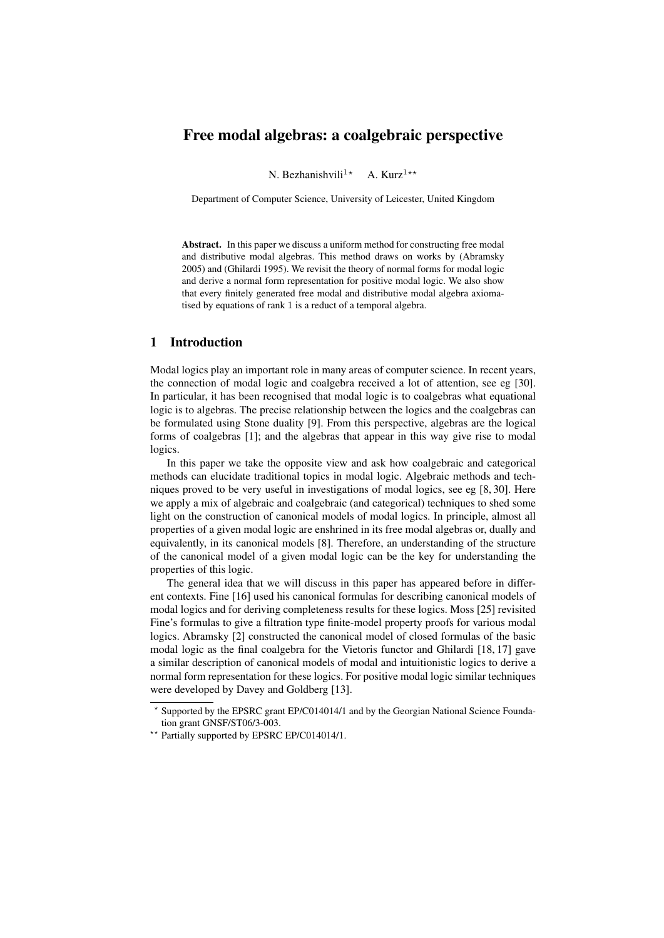# Free modal algebras: a coalgebraic perspective

N. Bezhanishvili<sup>1\*</sup> A. Kurz<sup>1\*\*</sup>

Department of Computer Science, University of Leicester, United Kingdom

Abstract. In this paper we discuss a uniform method for constructing free modal and distributive modal algebras. This method draws on works by (Abramsky 2005) and (Ghilardi 1995). We revisit the theory of normal forms for modal logic and derive a normal form representation for positive modal logic. We also show that every finitely generated free modal and distributive modal algebra axiomatised by equations of rank 1 is a reduct of a temporal algebra.

## 1 Introduction

Modal logics play an important role in many areas of computer science. In recent years, the connection of modal logic and coalgebra received a lot of attention, see eg [30]. In particular, it has been recognised that modal logic is to coalgebras what equational logic is to algebras. The precise relationship between the logics and the coalgebras can be formulated using Stone duality [9]. From this perspective, algebras are the logical forms of coalgebras [1]; and the algebras that appear in this way give rise to modal logics.

In this paper we take the opposite view and ask how coalgebraic and categorical methods can elucidate traditional topics in modal logic. Algebraic methods and techniques proved to be very useful in investigations of modal logics, see eg [8, 30]. Here we apply a mix of algebraic and coalgebraic (and categorical) techniques to shed some light on the construction of canonical models of modal logics. In principle, almost all properties of a given modal logic are enshrined in its free modal algebras or, dually and equivalently, in its canonical models [8]. Therefore, an understanding of the structure of the canonical model of a given modal logic can be the key for understanding the properties of this logic.

The general idea that we will discuss in this paper has appeared before in different contexts. Fine [16] used his canonical formulas for describing canonical models of modal logics and for deriving completeness results for these logics. Moss [25] revisited Fine's formulas to give a filtration type finite-model property proofs for various modal logics. Abramsky [2] constructed the canonical model of closed formulas of the basic modal logic as the final coalgebra for the Vietoris functor and Ghilardi [18, 17] gave a similar description of canonical models of modal and intuitionistic logics to derive a normal form representation for these logics. For positive modal logic similar techniques were developed by Davey and Goldberg [13].

<sup>?</sup> Supported by the EPSRC grant EP/C014014/1 and by the Georgian National Science Foundation grant GNSF/ST06/3-003.

<sup>\*\*</sup> Partially supported by EPSRC EP/C014014/1.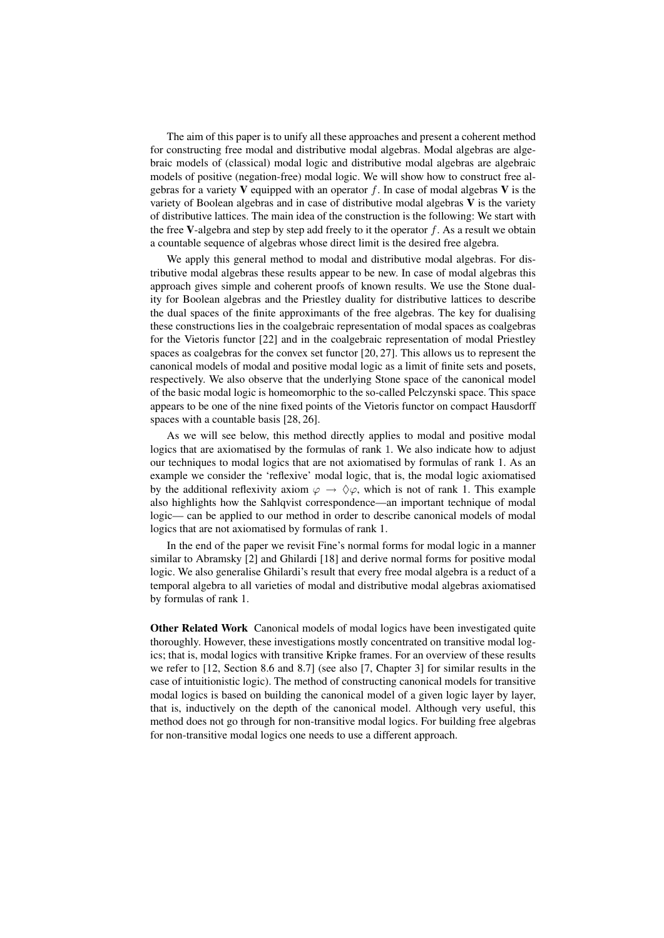The aim of this paper is to unify all these approaches and present a coherent method for constructing free modal and distributive modal algebras. Modal algebras are algebraic models of (classical) modal logic and distributive modal algebras are algebraic models of positive (negation-free) modal logic. We will show how to construct free algebras for a variety V equipped with an operator f. In case of modal algebras V is the variety of Boolean algebras and in case of distributive modal algebras  $V$  is the variety of distributive lattices. The main idea of the construction is the following: We start with the free V-algebra and step by step add freely to it the operator  $f$ . As a result we obtain a countable sequence of algebras whose direct limit is the desired free algebra.

We apply this general method to modal and distributive modal algebras. For distributive modal algebras these results appear to be new. In case of modal algebras this approach gives simple and coherent proofs of known results. We use the Stone duality for Boolean algebras and the Priestley duality for distributive lattices to describe the dual spaces of the finite approximants of the free algebras. The key for dualising these constructions lies in the coalgebraic representation of modal spaces as coalgebras for the Vietoris functor [22] and in the coalgebraic representation of modal Priestley spaces as coalgebras for the convex set functor [20, 27]. This allows us to represent the canonical models of modal and positive modal logic as a limit of finite sets and posets, respectively. We also observe that the underlying Stone space of the canonical model of the basic modal logic is homeomorphic to the so-called Pelczynski space. This space appears to be one of the nine fixed points of the Vietoris functor on compact Hausdorff spaces with a countable basis [28, 26].

As we will see below, this method directly applies to modal and positive modal logics that are axiomatised by the formulas of rank 1. We also indicate how to adjust our techniques to modal logics that are not axiomatised by formulas of rank 1. As an example we consider the 'reflexive' modal logic, that is, the modal logic axiomatised by the additional reflexivity axiom  $\varphi \to \Diamond \varphi$ , which is not of rank 1. This example also highlights how the Sahlqvist correspondence—an important technique of modal logic— can be applied to our method in order to describe canonical models of modal logics that are not axiomatised by formulas of rank 1.

In the end of the paper we revisit Fine's normal forms for modal logic in a manner similar to Abramsky [2] and Ghilardi [18] and derive normal forms for positive modal logic. We also generalise Ghilardi's result that every free modal algebra is a reduct of a temporal algebra to all varieties of modal and distributive modal algebras axiomatised by formulas of rank 1.

Other Related Work Canonical models of modal logics have been investigated quite thoroughly. However, these investigations mostly concentrated on transitive modal logics; that is, modal logics with transitive Kripke frames. For an overview of these results we refer to [12, Section 8.6 and 8.7] (see also [7, Chapter 3] for similar results in the case of intuitionistic logic). The method of constructing canonical models for transitive modal logics is based on building the canonical model of a given logic layer by layer, that is, inductively on the depth of the canonical model. Although very useful, this method does not go through for non-transitive modal logics. For building free algebras for non-transitive modal logics one needs to use a different approach.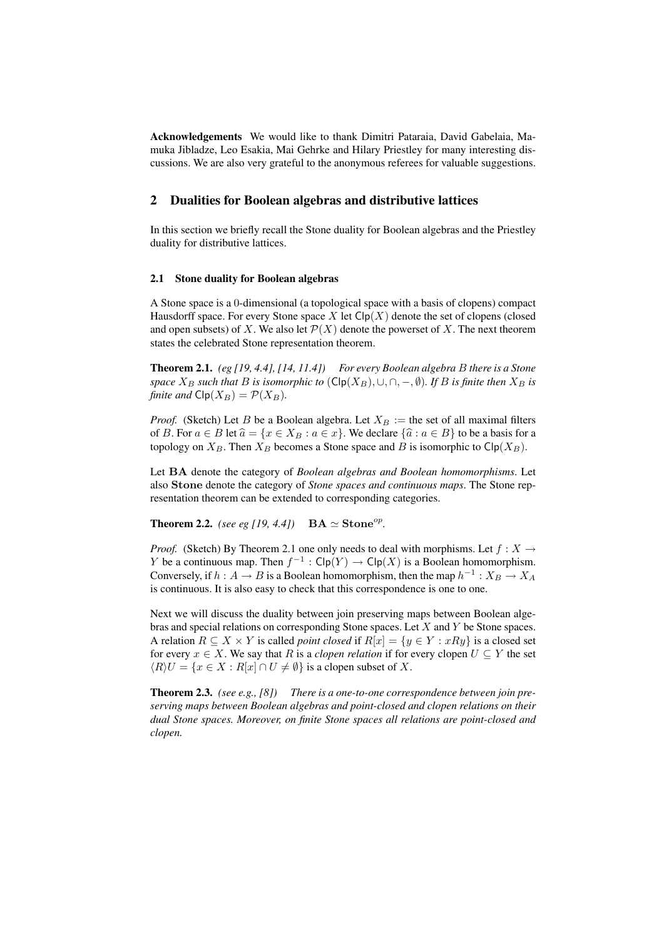Acknowledgements We would like to thank Dimitri Pataraia, David Gabelaia, Mamuka Jibladze, Leo Esakia, Mai Gehrke and Hilary Priestley for many interesting discussions. We are also very grateful to the anonymous referees for valuable suggestions.

## 2 Dualities for Boolean algebras and distributive lattices

In this section we briefly recall the Stone duality for Boolean algebras and the Priestley duality for distributive lattices.

#### 2.1 Stone duality for Boolean algebras

A Stone space is a 0-dimensional (a topological space with a basis of clopens) compact Hausdorff space. For every Stone space X let  $\text{Clp}(X)$  denote the set of clopens (closed and open subsets) of X. We also let  $\mathcal{P}(X)$  denote the powerset of X. The next theorem states the celebrated Stone representation theorem.

Theorem 2.1. *(eg [19, 4.4], [14, 11.4]) For every Boolean algebra* B *there is a Stone space*  $X_B$  *such that* B *is isomorphic to* ( $\text{Clp}(X_B)$ ,  $\cup$ ,  $\cap$ ,  $-\emptyset$ ). If B *is finite then*  $X_B$  *is finite and*  $\text{Clp}(X_B) = \mathcal{P}(X_B)$ *.* 

*Proof.* (Sketch) Let B be a Boolean algebra. Let  $X_B :=$  the set of all maximal filters of B. For  $a \in B$  let  $\hat{a} = \{x \in X_B : a \in x\}$ . We declare  $\{\hat{a} : a \in B\}$  to be a basis for a topology on  $X_B$ . Then  $X_B$  becomes a Stone space and B is isomorphic to Clp( $X_B$ ).

Let BA denote the category of *Boolean algebras and Boolean homomorphisms*. Let also Stone denote the category of *Stone spaces and continuous maps*. The Stone representation theorem can be extended to corresponding categories.

**Theorem 2.2.** *(see eg [19, 4.4])*  $BA \simeq$  **Stone**<sup>*op*</sup>.

*Proof.* (Sketch) By Theorem 2.1 one only needs to deal with morphisms. Let  $f : X \to Y$ Y be a continuous map. Then  $f^{-1}: \mathsf{Clp}(Y) \to \mathsf{Clp}(X)$  is a Boolean homomorphism. Conversely, if  $h: A \to B$  is a Boolean homomorphism, then the map  $h^{-1}: X_B \to X_A$ is continuous. It is also easy to check that this correspondence is one to one.

Next we will discuss the duality between join preserving maps between Boolean algebras and special relations on corresponding Stone spaces. Let X and Y be Stone spaces. A relation  $R \subseteq X \times Y$  is called *point closed* if  $R[x] = \{y \in Y : xRy\}$  is a closed set for every  $x \in X$ . We say that R is a *clopen relation* if for every clopen  $U \subseteq Y$  the set  $\langle R \rangle U = \{x \in X : R[x] \cap U \neq \emptyset\}$  is a clopen subset of X.

Theorem 2.3. *(see e.g., [8]) There is a one-to-one correspondence between join preserving maps between Boolean algebras and point-closed and clopen relations on their dual Stone spaces. Moreover, on finite Stone spaces all relations are point-closed and clopen.*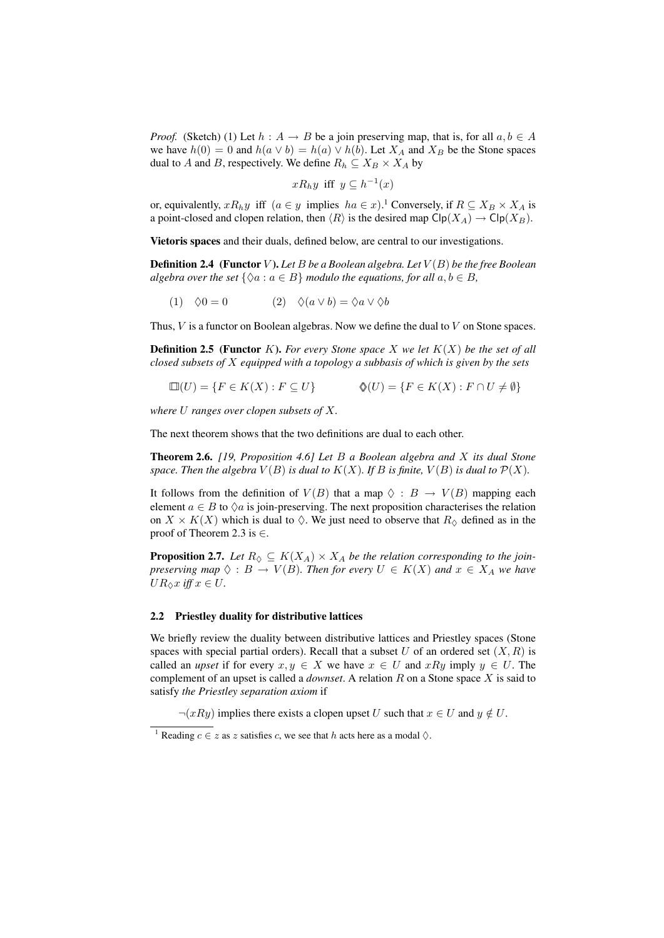*Proof.* (Sketch) (1) Let  $h : A \rightarrow B$  be a join preserving map, that is, for all  $a, b \in A$ we have  $h(0) = 0$  and  $h(a \vee b) = h(a) \vee h(b)$ . Let  $X_A$  and  $X_B$  be the Stone spaces dual to A and B, respectively. We define  $R_h \subseteq X_B \times X_A$  by

$$
xR_hy
$$
 iff  $y \subseteq h^{-1}(x)$ 

or, equivalently,  $xR_hy$  iff  $(a \in y$  implies  $ha \in x$ ).<sup>1</sup> Conversely, if  $R \subseteq X_B \times X_A$  is a point-closed and clopen relation, then  $\langle R \rangle$  is the desired map Clp( $X_A$ )  $\rightarrow$  Clp( $X_B$ ).

Vietoris spaces and their duals, defined below, are central to our investigations.

**Definition 2.4** (Functor V). Let B be a Boolean algebra. Let  $V(B)$  be the free Boolean *algebra over the set*  $\{\Diamond a : a \in B\}$  *modulo the equations, for all*  $a, b \in B$ *,* 

(1) 
$$
\Diamond 0 = 0
$$
 (2) 
$$
\Diamond (a \lor b) = \Diamond a \lor \Diamond b
$$

Thus, V is a functor on Boolean algebras. Now we define the dual to V on Stone spaces.

Definition 2.5 (Functor K). *For every Stone space* X *we let* K(X) *be the set of all closed subsets of* X *equipped with a topology a subbasis of which is given by the sets*

$$
\Box(U) = \{ F \in K(X) : F \subseteq U \} \qquad \qquad \Diamond(U) = \{ F \in K(X) : F \cap U \neq \emptyset \}
$$

*where* U *ranges over clopen subsets of* X*.*

The next theorem shows that the two definitions are dual to each other.

Theorem 2.6. *[19, Proposition 4.6] Let* B *a Boolean algebra and* X *its dual Stone* space. Then the algebra  $V(B)$  is dual to  $K(X)$ . If B is finite,  $V(B)$  is dual to  $P(X)$ .

It follows from the definition of  $V(B)$  that a map  $\Diamond : B \rightarrow V(B)$  mapping each element  $a \in B$  to  $\Diamond a$  is join-preserving. The next proposition characterises the relation on  $X \times K(X)$  which is dual to  $\Diamond$ . We just need to observe that  $R_{\Diamond}$  defined as in the proof of Theorem 2.3 is  $\in$ .

**Proposition 2.7.** Let  $R_{\lozenge} \subseteq K(X_A) \times X_A$  be the relation corresponding to the join*preserving map*  $\Diamond : B \to V(B)$ *. Then for every*  $U \in K(X)$  *and*  $x \in X_A$  *we have*  $UR_{\Diamond}x$  *iff*  $x \in U$ .

## 2.2 Priestley duality for distributive lattices

We briefly review the duality between distributive lattices and Priestley spaces (Stone spaces with special partial orders). Recall that a subset  $U$  of an ordered set  $(X, R)$  is called an *upset* if for every  $x, y \in X$  we have  $x \in U$  and  $xRy$  imply  $y \in U$ . The complement of an upset is called a *downset*. A relation R on a Stone space X is said to satisfy *the Priestley separation axiom* if

 $\neg(xRy)$  implies there exists a clopen upset U such that  $x \in U$  and  $y \notin U$ .

<sup>&</sup>lt;sup>1</sup> Reading  $c \in z$  as z satisfies c, we see that h acts here as a modal  $\Diamond$ .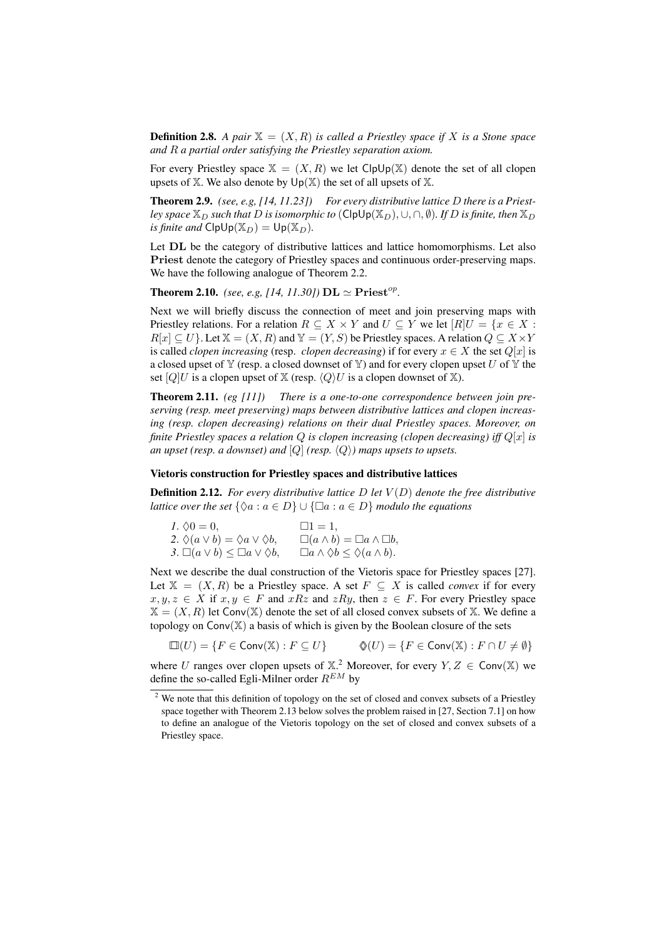**Definition 2.8.** A pair  $\mathbb{X} = (X, R)$  is called a Priestley space if X is a Stone space *and* R *a partial order satisfying the Priestley separation axiom.*

For every Priestley space  $X = (X, R)$  we let ClpUp(X) denote the set of all clopen upsets of  $X$ . We also denote by  $Up(X)$  the set of all upsets of  $X$ .

Theorem 2.9. *(see, e.g, [14, 11.23]) For every distributive lattice* D *there is a Priestley space*  $\mathbb{X}_D$  *such that* D *is isomorphic to* (ClpUp( $\mathbb{X}_D$ ),  $\cup$ ,  $\cap$ ,  $\emptyset$ )*. If* D *is finite, then*  $\mathbb{X}_D$ *is finite and*  $\text{ClpUp}(\mathbb{X}_D) = \text{Up}(\mathbb{X}_D)$ .

Let **DL** be the category of distributive lattices and lattice homomorphisms. Let also Priest denote the category of Priestley spaces and continuous order-preserving maps. We have the following analogue of Theorem 2.2.

**Theorem 2.10.** *(see, e.g, [14, 11.30])*  $\mathbf{DL} \simeq \mathbf{Priest}^{op}$ .

Next we will briefly discuss the connection of meet and join preserving maps with Priestley relations. For a relation  $R \subseteq X \times Y$  and  $U \subseteq Y$  we let  $[R]U = \{x \in X :$  $R[x] \subseteq U$ . Let  $X = (X, R)$  and  $Y = (Y, S)$  be Priestley spaces. A relation  $Q \subseteq X \times Y$ is called *clopen increasing* (resp. *clopen decreasing*) if for every  $x \in X$  the set  $Q[x]$  is a closed upset of  $\mathbb {Y}$  (resp. a closed downset of  $\mathbb {Y}$ ) and for every clopen upset U of  $\mathbb {Y}$  the set  $[Q]U$  is a clopen upset of  $\mathbb{X}$  (resp.  $\langle Q \rangle U$  is a clopen downset of  $\mathbb{X}$ ).

Theorem 2.11. *(eg [11]) There is a one-to-one correspondence between join preserving (resp. meet preserving) maps between distributive lattices and clopen increasing (resp. clopen decreasing) relations on their dual Priestley spaces. Moreover, on finite Priestley spaces a relation* Q *is clopen increasing (clopen decreasing) iff* Q[x] *is an upset (resp. a downset) and*  $[Q]$  *(resp.*  $\langle Q \rangle$ *) maps upsets to upsets.* 

### Vietoris construction for Priestley spaces and distributive lattices

**Definition 2.12.** *For every distributive lattice D let*  $V(D)$  *denote the free distributive lattice over the set*  $\{\Diamond a : a \in D\} \cup \{\Box a : a \in D\}$  *modulo the equations* 

| $l. \Diamond 0 = 0,$                                   | $\Box 1 = 1,$                                          |
|--------------------------------------------------------|--------------------------------------------------------|
| 2. $\Diamond(a \vee b) = \Diamond a \vee \Diamond b$ , | $\Box(a \wedge b) = \Box a \wedge \Box b,$             |
| 3. $\Box(a \vee b) \leq \Box a \vee \Diamond b$ ,      | $\Box a \wedge \Diamond b \leq \Diamond (a \wedge b).$ |

Next we describe the dual construction of the Vietoris space for Priestley spaces [27]. Let  $X = (X, R)$  be a Priestley space. A set  $F \subseteq X$  is called *convex* if for every  $x, y, z \in X$  if  $x, y \in F$  and  $xRz$  and  $zRy$ , then  $z \in F$ . For every Priestley space  $X = (X, R)$  let Conv(X) denote the set of all closed convex subsets of X. We define a topology on  $Conv(\mathbb{X})$  a basis of which is given by the Boolean closure of the sets

 $\square(U) = \{F \in Conv(\mathbb{X}) : F \subseteq U\}$   $\lozenge(U) = \{F \in Conv(\mathbb{X}) : F \cap U \neq \emptyset\}$ 

where U ranges over clopen upsets of  $X<sup>2</sup>$  Moreover, for every  $Y, Z \in Conv(X)$  we define the so-called Egli-Milner order  $R^{EM}$  by

<sup>&</sup>lt;sup>2</sup> We note that this definition of topology on the set of closed and convex subsets of a Priestley space together with Theorem 2.13 below solves the problem raised in [27, Section 7.1] on how to define an analogue of the Vietoris topology on the set of closed and convex subsets of a Priestley space.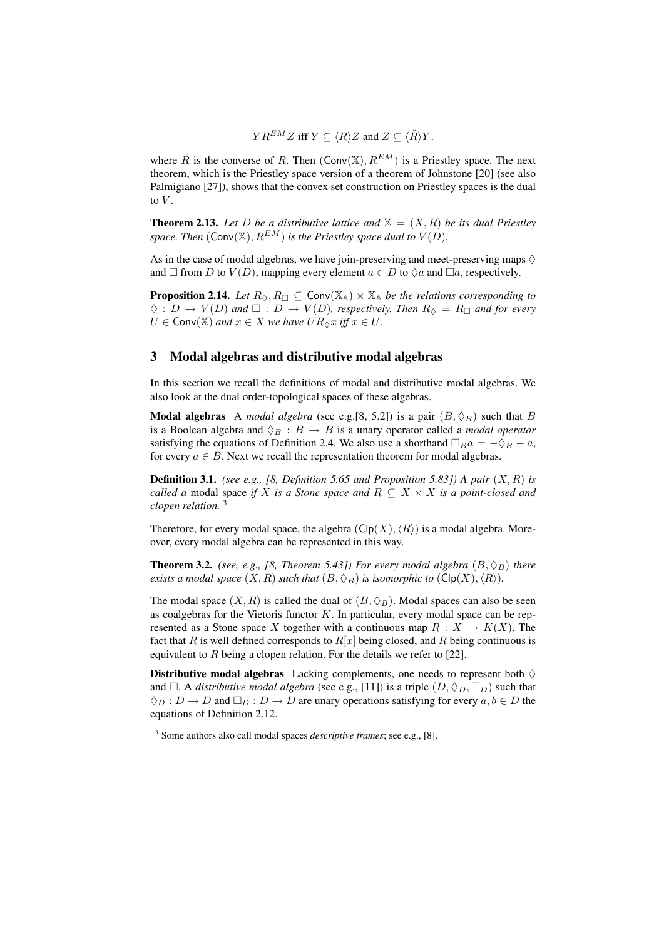$Y R^{EM} Z$  iff  $Y \subset \langle R \rangle Z$  and  $Z \subset \langle \check{R} \rangle Y$ .

where  $\check{R}$  is the converse of R. Then  $(Conv(X), R^{EM})$  is a Priestley space. The next theorem, which is the Priestley space version of a theorem of Johnstone [20] (see also Palmigiano [27]), shows that the convex set construction on Priestley spaces is the dual to  $V$ .

**Theorem 2.13.** Let D be a distributive lattice and  $X = (X, R)$  be its dual Priestley *space. Then*  $(\mathsf{Conv}(\mathbb{X}), R^{EM})$  *is the Priestley space dual to*  $V(D)$ *.* 

As in the case of modal algebras, we have join-preserving and meet-preserving maps  $\Diamond$ and  $\Box$  from D to  $V(D)$ , mapping every element  $a \in D$  to  $\Diamond a$  and  $\Box a$ , respectively.

**Proposition 2.14.** *Let*  $R_{\Diamond}, R_{\Box} \subseteq \text{Conv}(\mathbb{X}_{\mathbb{A}}) \times \mathbb{X}_{\mathbb{A}}$  *be the relations corresponding to*  $\Diamond : D \to V(D)$  and  $\square : D \to V(D)$ , respectively. Then  $R_{\Diamond} = R_{\Box}$  and for every  $U \in Conv(\mathbb{X})$  *and*  $x \in X$  *we have*  $UR_{\lozenge}x$  *iff*  $x \in U$ *.* 

## 3 Modal algebras and distributive modal algebras

In this section we recall the definitions of modal and distributive modal algebras. We also look at the dual order-topological spaces of these algebras.

**Modal algebras** A *modal algebra* (see e.g.[8, 5.2]) is a pair  $(B, \Diamond_B)$  such that B is a Boolean algebra and  $\Diamond_B : B \to B$  is a unary operator called a *modal operator* satisfying the equations of Definition 2.4. We also use a shorthand  $\Box_B a = -\Diamond_B - a$ , for every  $a \in B$ . Next we recall the representation theorem for modal algebras.

**Definition 3.1.** *(see e.g., [8, Definition 5.65 and Proposition 5.83])* A pair  $(X, R)$  is *called a* modal space *if* X *is a Stone space and*  $R \subseteq X \times X$  *is a point-closed and clopen relation.* <sup>3</sup>

Therefore, for every modal space, the algebra  $(\text{Clp}(X), \langle R \rangle)$  is a modal algebra. Moreover, every modal algebra can be represented in this way.

**Theorem 3.2.** *(see, e.g., [8, Theorem 5.43]) For every modal algebra*  $(B, \Diamond_B)$  *there exists a modal space*  $(X, R)$  *such that*  $(B, \Diamond_B)$  *is isomorphic to*  $(\text{Clp}(X), \langle R \rangle)$ *.* 

The modal space  $(X, R)$  is called the dual of  $(B, \Diamond_B)$ . Modal spaces can also be seen as coalgebras for the Vietoris functor  $K$ . In particular, every modal space can be represented as a Stone space X together with a continuous map  $R : X \to K(X)$ . The fact that R is well defined corresponds to  $R[x]$  being closed, and R being continuous is equivalent to  $R$  being a clopen relation. For the details we refer to [22].

**Distributive modal algebras** Lacking complements, one needs to represent both  $\diamondsuit$ and  $\Box$ . A *distributive modal algebra* (see e.g., [11]) is a triple  $(D, \Diamond_D, \Box_D)$  such that  $\Diamond_D : D \to D$  and  $\Box_D : D \to D$  are unary operations satisfying for every  $a, b \in D$  the equations of Definition 2.12.

<sup>3</sup> Some authors also call modal spaces *descriptive frames*; see e.g., [8].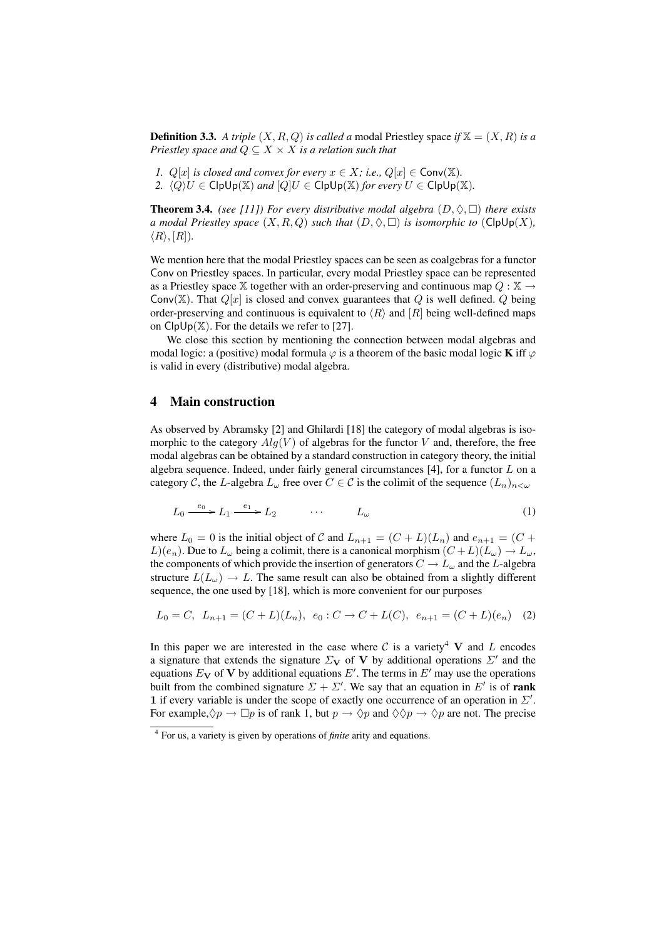**Definition 3.3.** A triple  $(X, R, Q)$  is called a modal Priestley space if  $X = (X, R)$  is a *Priestley space and*  $Q \subseteq X \times X$  *is a relation such that* 

- *1.*  $Q[x]$  *is closed and convex for every*  $x \in X$ *; i.e.,*  $Q[x] \in Conv(\mathbb{X})$ *.*
- *2.*  $\langle Q \rangle U \in \mathsf{ClpUp}(\mathbb{X})$  *and*  $[Q]U \in \mathsf{ClpUp}(\mathbb{X})$  *for every*  $U \in \mathsf{ClpUp}(\mathbb{X})$ *.*

**Theorem 3.4.** *(see [11]) For every distributive modal algebra*  $(D, \Diamond, \Box)$  *there exists a* modal Priestley space  $(X, R, Q)$  such that  $(D, \Diamond, \Box)$  is isomorphic to  $(\text{ClpUp}(X))$ ,  $\langle R \rangle$ ,  $[R]$ ).

We mention here that the modal Priestley spaces can be seen as coalgebras for a functor Conv on Priestley spaces. In particular, every modal Priestley space can be represented as a Priestley space X together with an order-preserving and continuous map  $Q : X \rightarrow$ Conv(X). That  $Q[x]$  is closed and convex guarantees that Q is well defined. Q being order-preserving and continuous is equivalent to  $\langle R \rangle$  and  $[R]$  being well-defined maps on  $C[pUp(\mathbb{X})]$ . For the details we refer to [27].

We close this section by mentioning the connection between modal algebras and modal logic: a (positive) modal formula  $\varphi$  is a theorem of the basic modal logic **K** iff  $\varphi$ is valid in every (distributive) modal algebra.

## 4 Main construction

As observed by Abramsky [2] and Ghilardi [18] the category of modal algebras is isomorphic to the category  $Alg(V)$  of algebras for the functor V and, therefore, the free modal algebras can be obtained by a standard construction in category theory, the initial algebra sequence. Indeed, under fairly general circumstances  $[4]$ , for a functor  $L$  on a category C, the L-algebra  $L_{\omega}$  free over  $C \in \mathcal{C}$  is the colimit of the sequence  $(L_n)_{n \leq \omega}$ 

$$
L_0 \xrightarrow{e_0} L_1 \xrightarrow{e_1} L_2 \qquad \qquad \dots \qquad L_\omega \tag{1}
$$

where  $L_0 = 0$  is the initial object of C and  $L_{n+1} = (C + L)(L_n)$  and  $e_{n+1} = (C + L)(L_n)$  $L(e_n)$ . Due to  $L_\omega$  being a colimit, there is a canonical morphism  $(C+L)(L_\omega) \to L_\omega$ , the components of which provide the insertion of generators  $C \to L_{\omega}$  and the L-algebra structure  $L(L_{\omega}) \rightarrow L$ . The same result can also be obtained from a slightly different sequence, the one used by [18], which is more convenient for our purposes

$$
L_0 = C, L_{n+1} = (C + L)(L_n), e_0 : C \to C + L(C), e_{n+1} = (C + L)(e_n) \quad (2)
$$

In this paper we are interested in the case where  $C$  is a variety<sup>4</sup> V and L encodes a signature that extends the signature  $\Sigma_{\mathbf{V}}$  of V by additional operations  $\Sigma'$  and the equations  $E_V$  of V by additional equations  $E'$ . The terms in  $E'$  may use the operations built from the combined signature  $\Sigma + \Sigma'$ . We say that an equation in E' is of rank 1 if every variable is under the scope of exactly one occurrence of an operation in  $\Sigma'$ . For example,  $\Diamond p \to \Box p$  is of rank 1, but  $p \to \Diamond p$  and  $\Diamond \Diamond p \to \Diamond p$  are not. The precise

<sup>4</sup> For us, a variety is given by operations of *finite* arity and equations.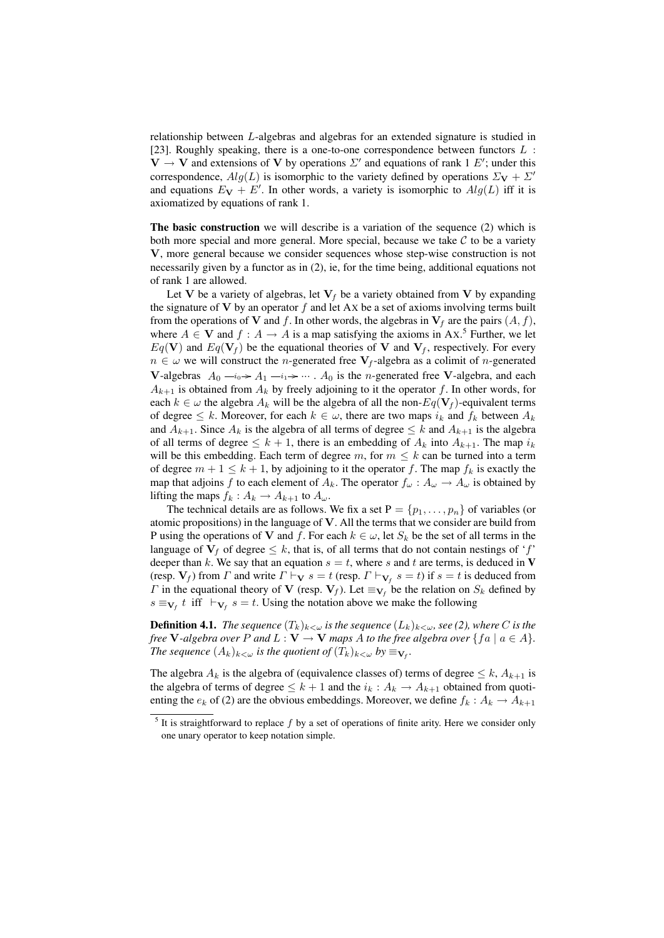relationship between L-algebras and algebras for an extended signature is studied in [23]. Roughly speaking, there is a one-to-one correspondence between functors  $L$  :  $V \rightarrow V$  and extensions of V by operations  $\Sigma'$  and equations of rank 1 E'; under this correspondence,  $Alg(L)$  is isomorphic to the variety defined by operations  $\Sigma_{\mathbf{V}} + \Sigma'$ and equations  $E_V + E'$ . In other words, a variety is isomorphic to  $Alg(L)$  iff it is axiomatized by equations of rank 1.

The basic construction we will describe is a variation of the sequence (2) which is both more special and more general. More special, because we take  $\mathcal C$  to be a variety V, more general because we consider sequences whose step-wise construction is not necessarily given by a functor as in (2), ie, for the time being, additional equations not of rank 1 are allowed.

Let V be a variety of algebras, let  $V_f$  be a variety obtained from V by expanding the signature of  $V$  by an operator  $f$  and let Ax be a set of axioms involving terms built from the operations of V and f. In other words, the algebras in  $V_f$  are the pairs  $(A, f)$ , where  $A \in V$  and  $f : A \to A$  is a map satisfying the axioms in Ax.<sup>5</sup> Further, we let  $Eq(V)$  and  $Eq(V<sub>f</sub>)$  be the equational theories of V and  $V<sub>f</sub>$ , respectively. For every  $n \in \omega$  we will construct the *n*-generated free  $V_f$ -algebra as a colimit of *n*-generated **V**-algebras  $A_0 \rightarrow A_1 \rightarrow A_1 \rightarrow \cdots$ .  $A_0$  is the *n*-generated free **V**-algebra, and each  $A_{k+1}$  is obtained from  $A_k$  by freely adjoining to it the operator f. In other words, for each  $k \in \omega$  the algebra  $A_k$  will be the algebra of all the non- $Eq(\mathbf{V}_f)$ -equivalent terms of degree  $\leq k$ . Moreover, for each  $k \in \omega$ , there are two maps  $i_k$  and  $f_k$  between  $A_k$ and  $A_{k+1}$ . Since  $A_k$  is the algebra of all terms of degree  $\leq k$  and  $A_{k+1}$  is the algebra of all terms of degree  $\leq k+1$ , there is an embedding of  $A_k$  into  $A_{k+1}$ . The map  $i_k$ will be this embedding. Each term of degree m, for  $m \leq k$  can be turned into a term of degree  $m + 1 \leq k + 1$ , by adjoining to it the operator f. The map  $f_k$  is exactly the map that adjoins f to each element of  $A_k$ . The operator  $f_\omega : A_\omega \to A_\omega$  is obtained by lifting the maps  $f_k: A_k \to A_{k+1}$  to  $A_{\omega}$ .

The technical details are as follows. We fix a set  $P = \{p_1, \ldots, p_n\}$  of variables (or atomic propositions) in the language of  $V$ . All the terms that we consider are build from P using the operations of V and f. For each  $k \in \omega$ , let  $S_k$  be the set of all terms in the language of  $V_f$  of degree  $\leq k$ , that is, of all terms that do not contain nestings of 'f' deeper than k. We say that an equation  $s = t$ , where s and t are terms, is deduced in V (resp.  $V_f$ ) from  $\Gamma$  and write  $\Gamma \vdash_{\mathbf{V}} s = t$  (resp.  $\Gamma \vdash_{\mathbf{V}_f} s = t$ ) if  $s = t$  is deduced from *Γ* in the equational theory of **V** (resp.  $V_f$ ). Let  $\equiv_{V_f}$  be the relation on  $S_k$  defined by  $s \equiv_{\mathbf{V}_f} t$  iff  $\vdash_{\mathbf{V}_f} s = t$ . Using the notation above we make the following

**Definition 4.1.** *The sequence*  $(T_k)_{k<\omega}$  *is the sequence*  $(L_k)_{k<\omega}$ *, see* (2)*, where* C *is the free* **V**-algebra over P and  $L: V \to V$  *maps A to the free algebra over* {  $fa \mid a \in A$  }. *The sequence*  $(A_k)_{k<\omega}$  *is the quotient of*  $(T_k)_{k<\omega}$  *by*  $\equiv_{\mathbf{V}_f}$ *.* 

The algebra  $A_k$  is the algebra of (equivalence classes of) terms of degree  $\leq k$ ,  $A_{k+1}$  is the algebra of terms of degree  $\leq k+1$  and the  $i_k : A_k \to A_{k+1}$  obtained from quotienting the  $e_k$  of (2) are the obvious embeddings. Moreover, we define  $f_k : A_k \to A_{k+1}$ 

 $<sup>5</sup>$  It is straightforward to replace f by a set of operations of finite arity. Here we consider only</sup> one unary operator to keep notation simple.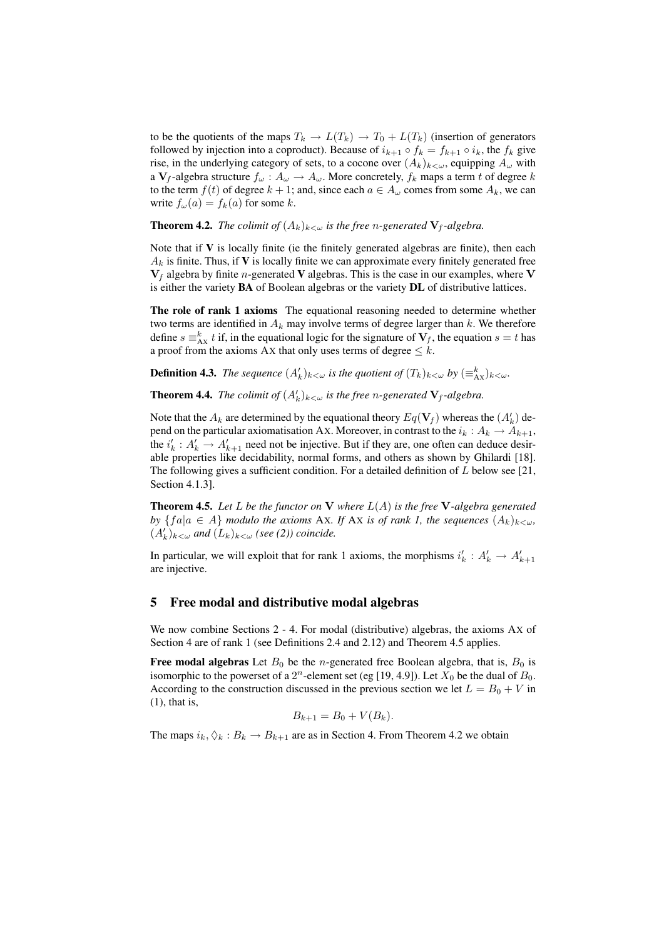to be the quotients of the maps  $T_k \to L(T_k) \to T_0 + L(T_k)$  (insertion of generators followed by injection into a coproduct). Because of  $i_{k+1} \circ f_k = f_{k+1} \circ i_k$ , the  $f_k$  give rise, in the underlying category of sets, to a cocone over  $(A_k)_{k\lt\omega}$ , equipping  $A_\omega$  with a  $V_f$ -algebra structure  $f_\omega: A_\omega \to A_\omega$ . More concretely,  $f_k$  maps a term t of degree k to the term  $f(t)$  of degree  $k + 1$ ; and, since each  $a \in A_\omega$  comes from some  $A_k$ , we can write  $f_{\omega}(a) = f_k(a)$  for some k.

**Theorem 4.2.** *The colimit of*  $(A_k)_{k < \omega}$  *is the free n-generated*  $V_f$ -algebra.

Note that if  $V$  is locally finite (ie the finitely generated algebras are finite), then each  $A_k$  is finite. Thus, if V is locally finite we can approximate every finitely generated free  $V_f$  algebra by finite *n*-generated V algebras. This is the case in our examples, where V is either the variety BA of Boolean algebras or the variety DL of distributive lattices.

The role of rank 1 axioms The equational reasoning needed to determine whether two terms are identified in  $A_k$  may involve terms of degree larger than  $k$ . We therefore define  $s \equiv_{Ax}^k t$  if, in the equational logic for the signature of  $V_f$ , the equation  $s = t$  has a proof from the axioms Ax that only uses terms of degree  $\leq k$ .

**Definition 4.3.** *The sequence*  $(A'_k)_{k < \omega}$  *is the quotient of*  $(T_k)_{k < \omega}$  *by*  $(\equiv^k_{\text{AX}})_{k < \omega}$ *.* 

**Theorem 4.4.** *The colimit of*  $(A'_k)_{k < \omega}$  *is the free n*-generated  $V_f$ -algebra.

Note that the  $A_k$  are determined by the equational theory  $Eq(\mathbf{V}_f)$  whereas the  $(A'_k)$  depend on the particular axiomatisation Ax. Moreover, in contrast to the  $i_k : A_k \to A_{k+1}$ , the  $i'_{k}: A'_{k} \to A'_{k+1}$  need not be injective. But if they are, one often can deduce desirable properties like decidability, normal forms, and others as shown by Ghilardi [18]. The following gives a sufficient condition. For a detailed definition of  $L$  below see [21, Section 4.1.3].

Theorem 4.5. *Let* L *be the functor on* V *where* L(A) *is the free* V*-algebra generated by*  ${f a | a \in A}$  *modulo the axioms* Ax. If Ax *is of rank 1, the sequences*  $(A_k)_{k \leq \omega}$ ,  $(A'_k)_{k < \omega}$  and  $(L_k)_{k < \omega}$  (see (2)) coincide.

In particular, we will exploit that for rank 1 axioms, the morphisms  $i'_{k} : A'_{k} \to A'_{k+1}$ are injective.

## 5 Free modal and distributive modal algebras

We now combine Sections 2 - 4. For modal (distributive) algebras, the axioms AX of Section 4 are of rank 1 (see Definitions 2.4 and 2.12) and Theorem 4.5 applies.

Free modal algebras Let  $B_0$  be the *n*-generated free Boolean algebra, that is,  $B_0$  is isomorphic to the powerset of a  $2^n$ -element set (eg [19, 4.9]). Let  $X_0$  be the dual of  $B_0$ . According to the construction discussed in the previous section we let  $L = B_0 + V$  in (1), that is,

$$
B_{k+1} = B_0 + V(B_k).
$$

The maps  $i_k, \Diamond_k : B_k \to B_{k+1}$  are as in Section 4. From Theorem 4.2 we obtain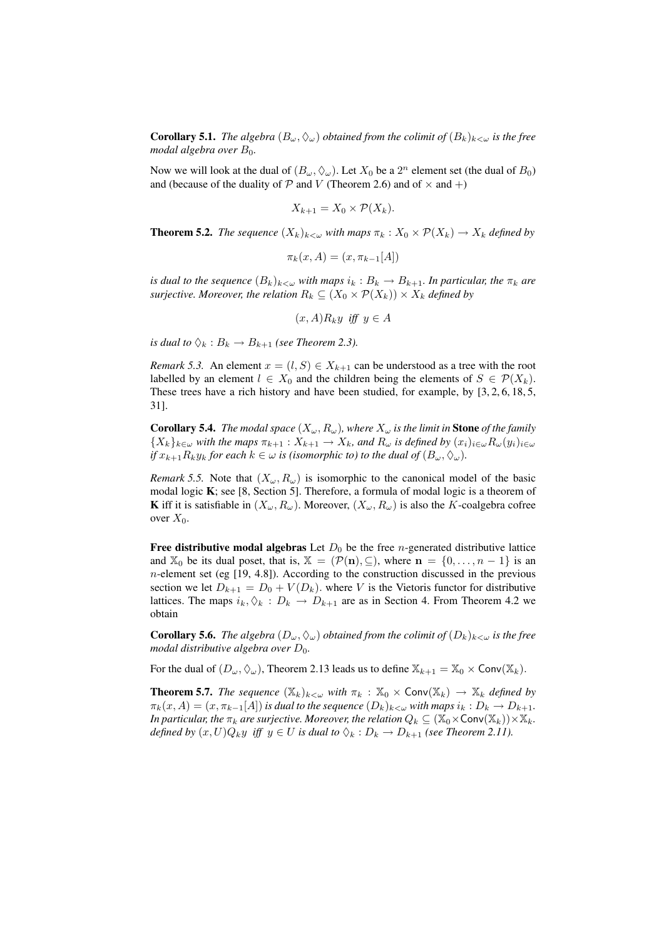**Corollary 5.1.** *The algebra*  $(B_\omega, \Diamond_\omega)$  *obtained from the colimit of*  $(B_k)_{k<\omega}$  *is the free modal algebra over*  $B_0$ *.* 

Now we will look at the dual of  $(B_{\omega}, \Diamond_{\omega})$ . Let  $X_0$  be a  $2^n$  element set (the dual of  $B_0$ ) and (because of the duality of  $P$  and  $V$  (Theorem 2.6) and of  $\times$  and  $+$ )

$$
X_{k+1} = X_0 \times \mathcal{P}(X_k).
$$

**Theorem 5.2.** *The sequence*  $(X_k)_{k\leq\omega}$  *with maps*  $\pi_k: X_0 \times \mathcal{P}(X_k) \to X_k$  *defined by* 

$$
\pi_k(x, A) = (x, \pi_{k-1}[A])
$$

*is dual to the sequence*  $(B_k)_{k\leq w}$  *with maps*  $i_k : B_k \to B_{k+1}$ *. In particular, the*  $\pi_k$  *are surjective. Moreover, the relation*  $R_k \subseteq (X_0 \times \mathcal{P}(X_k)) \times X_k$  *defined by* 

$$
(x, A)R_ky
$$
 iff  $y \in A$ 

*is dual to*  $\Diamond_k : B_k \to B_{k+1}$  *(see Theorem 2.3).* 

*Remark 5.3.* An element  $x = (l, S) \in X_{k+1}$  can be understood as a tree with the root labelled by an element  $l \in X_0$  and the children being the elements of  $S \in \mathcal{P}(X_k)$ . These trees have a rich history and have been studied, for example, by [3, 2, 6, 18, 5, 31].

**Corollary 5.4.** *The modal space*  $(X_\omega, R_\omega)$ *, where*  $X_\omega$  *is the limit in* **Stone** *of the family*  ${X_k}_{k\in\omega}$  *with the maps*  $\pi_{k+1}: X_{k+1} \to X_k$ *, and*  $R_\omega$  *is defined by*  $(x_i)_{i\in\omega}R_\omega(y_i)_{i\in\omega}$ *if*  $x_{k+1}R_ky_k$  *for each*  $k \in \omega$  *is (isomorphic to) to the dual of*  $(B_\omega, \Diamond_\omega)$ *.* 

*Remark 5.5.* Note that  $(X_\omega, R_\omega)$  is isomorphic to the canonical model of the basic modal logic K; see [8, Section 5]. Therefore, a formula of modal logic is a theorem of **K** iff it is satisfiable in  $(X_\omega, R_\omega)$ . Moreover,  $(X_\omega, R_\omega)$  is also the K-coalgebra cofree over  $X_0$ .

Free distributive modal algebras Let  $D_0$  be the free *n*-generated distributive lattice and  $\mathbb{X}_0$  be its dual poset, that is,  $\mathbb{X} = (\mathcal{P}(\mathbf{n}), \subseteq)$ , where  $\mathbf{n} = \{0, \ldots, n-1\}$  is an  $n$ -element set (eg [19, 4.8]). According to the construction discussed in the previous section we let  $D_{k+1} = D_0 + V(D_k)$ . where V is the Vietoris functor for distributive lattices. The maps  $i_k, \Diamond_k : D_k \to D_{k+1}$  are as in Section 4. From Theorem 4.2 we obtain

**Corollary 5.6.** *The algebra*  $(D_{\omega}, \Diamond_{\omega})$  *obtained from the colimit of*  $(D_k)_{k < \omega}$  *is the free modal distributive algebra over*  $D_0$ *.* 

For the dual of  $(D_{\omega}, \Diamond_{\omega})$ , Theorem 2.13 leads us to define  $\mathbb{X}_{k+1} = \mathbb{X}_0 \times \text{Conv}(\mathbb{X}_k)$ .

**Theorem 5.7.** *The sequence*  $(X_k)_{k\leq\omega}$  *with*  $\pi_k : X_0 \times \text{Conv}(X_k) \to X_k$  *defined by*  $\pi_k(x, A) = (x, \pi_{k-1}[A])$  *is dual to the sequence*  $(D_k)_{k < \omega}$  *with maps*  $i_k : D_k \to D_{k+1}$ *. In particular, the*  $\pi_k$  *are surjective. Moreover, the relation*  $Q_k \subseteq (\mathbb{X}_0 \times \text{Conv}(\mathbb{X}_k)) \times \mathbb{X}_k$ . *defined by*  $(x, U)Q_ky$  *iff*  $y \in U$  *is dual to*  $\Diamond_k : D_k \to D_{k+1}$  *(see Theorem 2.11).*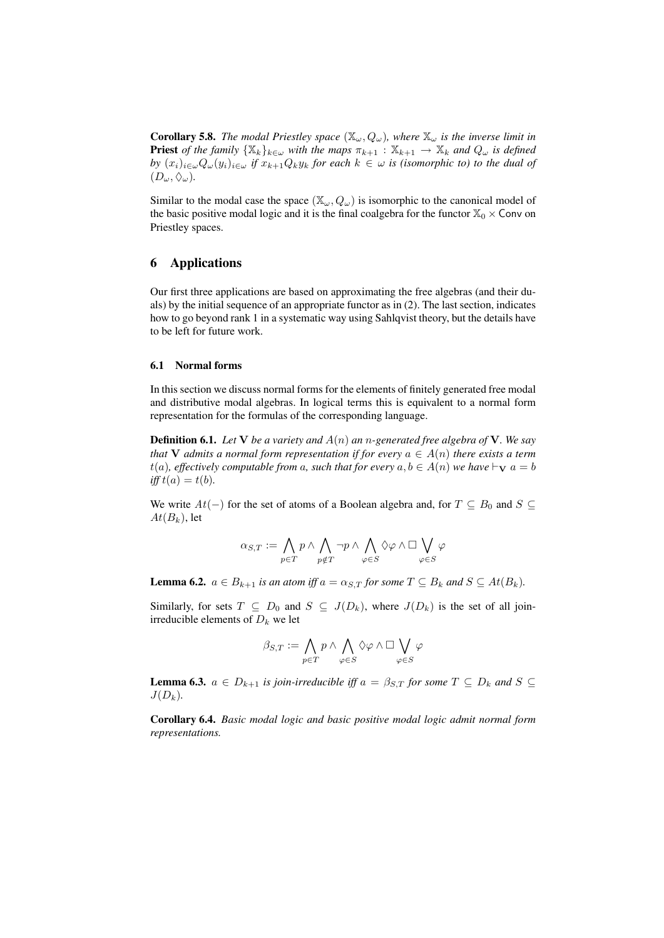**Corollary 5.8.** *The modal Priestley space*  $(\mathbb{X}_{\omega}, Q_{\omega})$ *, where*  $\mathbb{X}_{\omega}$  *is the inverse limit in* **Priest** *of the family*  $\{X_k\}_{k\in\omega}$  *with the maps*  $\pi_{k+1} : X_{k+1} \to X_k$  *and*  $Q_\omega$  *is defined by*  $(x_i)_{i\in\omega}Q_{\omega}(y_i)_{i\in\omega}$  *if*  $x_{k+1}Q_ky_k$  *for each*  $k \in \omega$  *is (isomorphic to) to the dual of*  $(D_{\omega}, \Diamond_{\omega}).$ 

Similar to the modal case the space  $(\mathbb{X}_{\omega}, Q_{\omega})$  is isomorphic to the canonical model of the basic positive modal logic and it is the final coalgebra for the functor  $\mathbb{X}_0 \times$  Conv on Priestley spaces.

## 6 Applications

Our first three applications are based on approximating the free algebras (and their duals) by the initial sequence of an appropriate functor as in (2). The last section, indicates how to go beyond rank 1 in a systematic way using Sahlqvist theory, but the details have to be left for future work.

#### 6.1 Normal forms

In this section we discuss normal forms for the elements of finitely generated free modal and distributive modal algebras. In logical terms this is equivalent to a normal form representation for the formulas of the corresponding language.

Definition 6.1. *Let* V *be a variety and* A(n) *an* n*-generated free algebra of* V*. We say that* V *admits a normal form representation if for every*  $a \in A(n)$  *there exists a term*  $t(a)$ *, effectively computable from* a*, such that for every*  $a, b \in A(n)$  *we have*  $\vdash_{\mathbf{V}} a = b$  $iff t(a) = t(b).$ 

We write  $At(-)$  for the set of atoms of a Boolean algebra and, for  $T \subseteq B_0$  and  $S \subseteq$  $At(B_k)$ , let

$$
\alpha_{S,T}:=\bigwedge_{p\in T}p\wedge\bigwedge_{p\notin T}\neg p\wedge\bigwedge_{\varphi\in S}\Diamond\varphi\wedge\Box\bigvee_{\varphi\in S}\varphi
$$

**Lemma 6.2.**  $a \in B_{k+1}$  *is an atom iff*  $a = \alpha_{S,T}$  *for some*  $T \subseteq B_k$  *and*  $S \subseteq At(B_k)$ *.* 

Similarly, for sets  $T \subseteq D_0$  and  $S \subseteq J(D_k)$ , where  $J(D_k)$  is the set of all joinirreducible elements of  $D_k$  we let

$$
\beta_{S,T}:=\bigwedge_{p\in T}p\wedge\bigwedge_{\varphi\in S}\Diamond\varphi\wedge\Box\bigvee_{\varphi\in S}\varphi
$$

**Lemma 6.3.**  $a \in D_{k+1}$  *is join-irreducible iff*  $a = \beta_{S,T}$  *for some*  $T \subseteq D_k$  *and*  $S \subseteq$  $J(D_k)$ .

Corollary 6.4. *Basic modal logic and basic positive modal logic admit normal form representations.*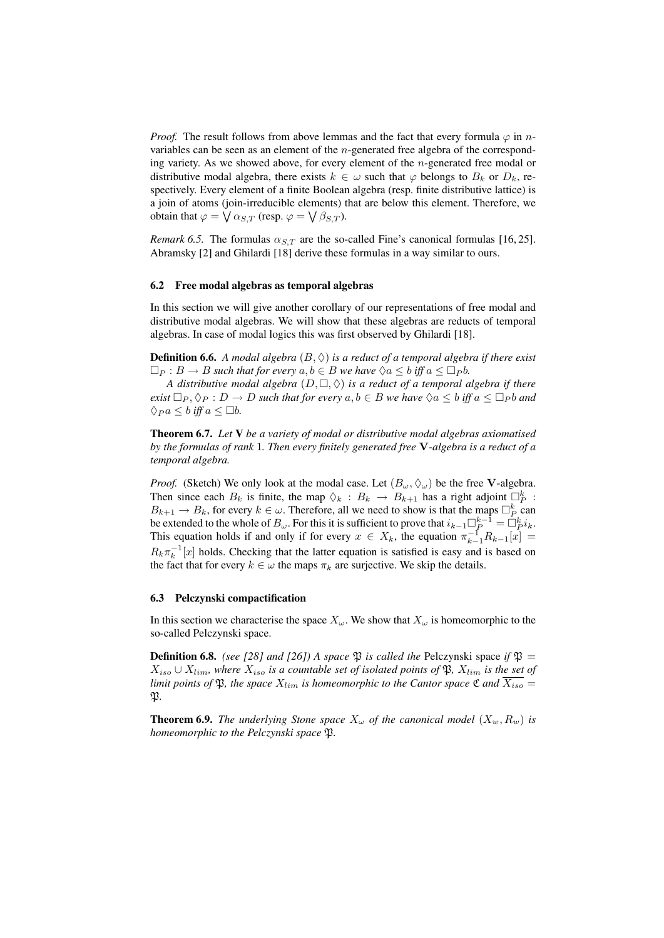*Proof.* The result follows from above lemmas and the fact that every formula  $\varphi$  in nvariables can be seen as an element of the n-generated free algebra of the corresponding variety. As we showed above, for every element of the n-generated free modal or distributive modal algebra, there exists  $k \in \omega$  such that  $\varphi$  belongs to  $B_k$  or  $D_k$ , respectively. Every element of a finite Boolean algebra (resp. finite distributive lattice) is a join of atoms (join-irreducible elements) that are below this element. Therefore, we obtain that  $\varphi = \bigvee \alpha_{S,T}$  (resp.  $\varphi = \bigvee \beta_{S,T}$ ).

*Remark 6.5.* The formulas  $\alpha_{S,T}$  are the so-called Fine's canonical formulas [16, 25]. Abramsky [2] and Ghilardi [18] derive these formulas in a way similar to ours.

#### 6.2 Free modal algebras as temporal algebras

In this section we will give another corollary of our representations of free modal and distributive modal algebras. We will show that these algebras are reducts of temporal algebras. In case of modal logics this was first observed by Ghilardi [18].

**Definition 6.6.** A modal algebra  $(B, \Diamond)$  is a reduct of a temporal algebra if there exist  $\Box_P : B \to B$  *such that for every*  $a, b \in B$  *we have*  $\Diamond a \leq b$  *iff*  $a \leq \Box_P b$ *.* 

*A distributive modal algebra*  $(D, \Box, \Diamond)$  *is a reduct of a temporal algebra if there exist*  $\Box_P, \Diamond_P : D \to D$  *such that for every*  $a, b \in B$  *we have*  $\Diamond a \leq b$  *iff*  $a \leq \Box_P b$  *and*  $\Diamond_{P} a \leq b$  *iff*  $a \leq \Box b$ *.* 

Theorem 6.7. *Let* V *be a variety of modal or distributive modal algebras axiomatised by the formulas of rank* 1*. Then every finitely generated free* V*-algebra is a reduct of a temporal algebra.*

*Proof.* (Sketch) We only look at the modal case. Let  $(B_{\omega}, \Diamond_{\omega})$  be the free **V**-algebra. Then since each  $B_k$  is finite, the map  $\Diamond_k : B_k \to B_{k+1}$  has a right adjoint  $\Box_p^k$ :  $B_{k+1} \to B_k$ , for every  $k \in \omega$ . Therefore, all we need to show is that the maps  $\Box_P^k$  can be extended to the whole of  $B_{\omega}$ . For this it is sufficient to prove that  $i_{k-1}\Box_{P}^{k-1}=\dot{\Box}_{P}^{k}i_{k}$ . This equation holds if and only if for every  $x \in X_k$ , the equation  $\pi_{k-1}^{-1} R_{k-1}[x] =$  $R_k \pi_k^{-1}[x]$  holds. Checking that the latter equation is satisfied is easy and is based on the fact that for every  $k \in \omega$  the maps  $\pi_k$  are surjective. We skip the details.

### 6.3 Pelczynski compactification

In this section we characterise the space  $X_{\omega}$ . We show that  $X_{\omega}$  is homeomorphic to the so-called Pelczynski space.

**Definition 6.8.** *(see [28] and [26]) A space*  $\mathfrak{B}$  *is called the* Pelczynski space *if*  $\mathfrak{B} =$  $X_{iso} ∪ X_{lim}$ , where  $X_{iso}$  *is a countable set of isolated points of*  $\mathfrak{P}$ *,*  $X_{lim}$  *is the set of limit points of*  $\mathfrak{P}$ *, the space*  $X_{lim}$  *is homeomorphic to the Cantor space*  $\mathfrak{C}$  *and*  $\overline{X_{iso}}$  = P*.*

**Theorem 6.9.** *The underlying Stone space*  $X_{\omega}$  *of the canonical model*  $(X_{w}, R_{w})$  *is homeomorphic to the Pelczynski space* P*.*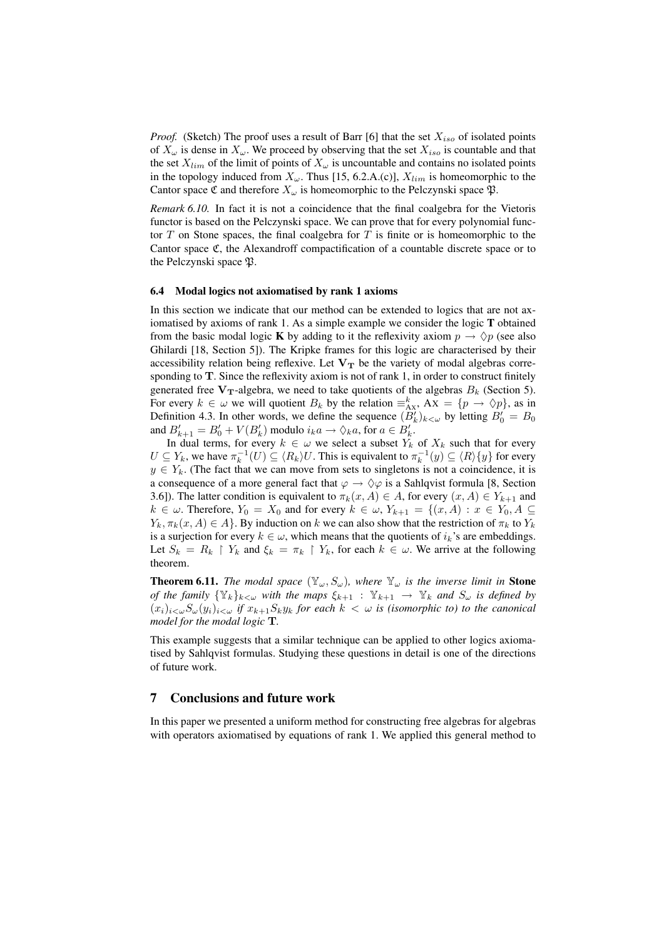*Proof.* (Sketch) The proof uses a result of Barr [6] that the set  $X_{iso}$  of isolated points of  $X_{\omega}$  is dense in  $X_{\omega}$ . We proceed by observing that the set  $X_{iso}$  is countable and that the set  $X_{lim}$  of the limit of points of  $X_{\omega}$  is uncountable and contains no isolated points in the topology induced from  $X_{\omega}$ . Thus [15, 6.2.A.(c)],  $X_{lim}$  is homeomorphic to the Cantor space C and therefore  $X_{\omega}$  is homeomorphic to the Pelczynski space  $\mathfrak{P}$ .

*Remark 6.10.* In fact it is not a coincidence that the final coalgebra for the Vietoris functor is based on the Pelczynski space. We can prove that for every polynomial functor  $T$  on Stone spaces, the final coalgebra for  $T$  is finite or is homeomorphic to the Cantor space C, the Alexandroff compactification of a countable discrete space or to the Pelczynski space  $\mathfrak{P}$ .

#### 6.4 Modal logics not axiomatised by rank 1 axioms

In this section we indicate that our method can be extended to logics that are not axiomatised by axioms of rank 1. As a simple example we consider the logic T obtained from the basic modal logic **K** by adding to it the reflexivity axiom  $p \rightarrow \Diamond p$  (see also Ghilardi [18, Section 5]). The Kripke frames for this logic are characterised by their accessibility relation being reflexive. Let  $V_T$  be the variety of modal algebras corresponding to  $T$ . Since the reflexivity axiom is not of rank 1, in order to construct finitely generated free  $V_T$ -algebra, we need to take quotients of the algebras  $B_k$  (Section 5). For every  $k \in \omega$  we will quotient  $B_k$  by the relation  $\equiv_{AX}^k$ ,  $AX = \{p \to \Diamond p\}$ , as in Definition 4.3. In other words, we define the sequence  $(B'_k)_{k < \omega}$  by letting  $B'_0 = B_0$ and  $B'_{k+1} = B'_0 + V(B'_k)$  modulo  $i_k a \to \Diamond_k a$ , for  $a \in B'_k$ .

In dual terms, for every  $k \in \omega$  we select a subset  $Y_k$  of  $X_k$  such that for every  $U \subseteq Y_k$ , we have  $\pi_k^{-1}(U) \subseteq \langle R_k \rangle U$ . This is equivalent to  $\pi_k^{-1}(y) \subseteq \langle R \rangle \{y\}$  for every  $y \in Y_k$ . (The fact that we can move from sets to singletons is not a coincidence, it is a consequence of a more general fact that  $\varphi \to \Diamond \varphi$  is a Sahlqvist formula [8, Section 3.6]). The latter condition is equivalent to  $\pi_k(x, A) \in A$ , for every  $(x, A) \in Y_{k+1}$  and  $k \in \omega$ . Therefore,  $Y_0 = X_0$  and for every  $k \in \omega$ ,  $Y_{k+1} = \{(x, A) : x \in Y_0, A \subseteq$  $Y_k, \pi_k(x, A) \in A$ . By induction on k we can also show that the restriction of  $\pi_k$  to  $Y_k$ is a surjection for every  $k \in \omega$ , which means that the quotients of  $i_k$ 's are embeddings. Let  $S_k = R_k \restriction Y_k$  and  $\xi_k = \pi_k \restriction Y_k$ , for each  $k \in \omega$ . We arrive at the following theorem.

**Theorem 6.11.** *The modal space*  $(\mathbb{Y}_{\omega}, S_{\omega})$ *, where*  $\mathbb{Y}_{\omega}$  *is the inverse limit in* **Stone** *of the family*  $\{Y_k\}_{k\leq\omega}$  *with the maps*  $\xi_{k+1}$  :  $Y_{k+1} \to Y_k$  *and*  $S_\omega$  *is defined by*  $(x_i)_{i\leq \omega}S_{\omega}(y_i)_{i\leq \omega}$  *if*  $x_{k+1}S_ky_k$  *for each*  $k < \omega$  *is (isomorphic to) to the canonical model for the modal logic* T*.*

This example suggests that a similar technique can be applied to other logics axiomatised by Sahlqvist formulas. Studying these questions in detail is one of the directions of future work.

## 7 Conclusions and future work

In this paper we presented a uniform method for constructing free algebras for algebras with operators axiomatised by equations of rank 1. We applied this general method to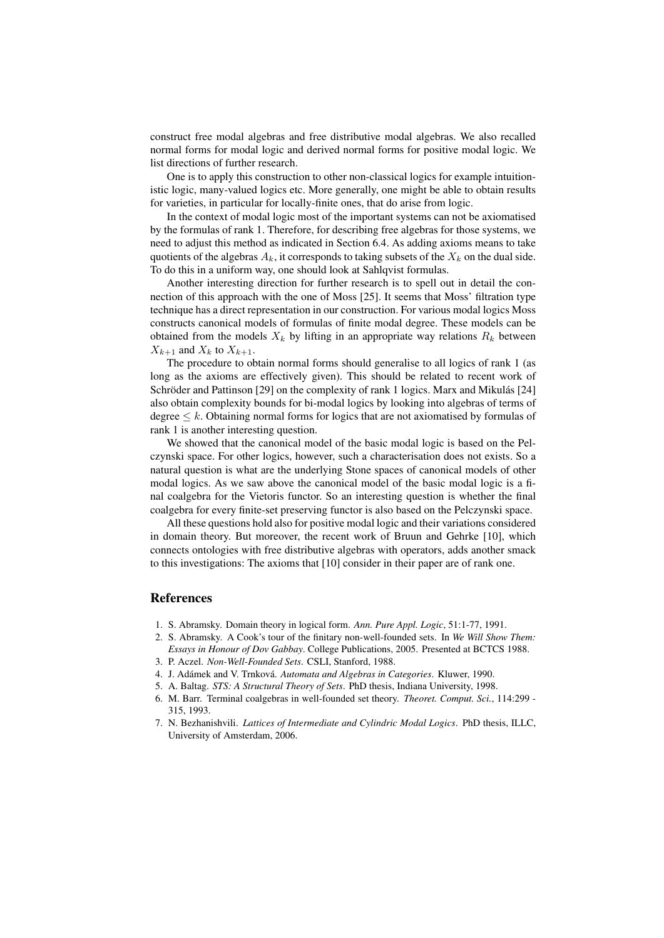construct free modal algebras and free distributive modal algebras. We also recalled normal forms for modal logic and derived normal forms for positive modal logic. We list directions of further research.

One is to apply this construction to other non-classical logics for example intuitionistic logic, many-valued logics etc. More generally, one might be able to obtain results for varieties, in particular for locally-finite ones, that do arise from logic.

In the context of modal logic most of the important systems can not be axiomatised by the formulas of rank 1. Therefore, for describing free algebras for those systems, we need to adjust this method as indicated in Section 6.4. As adding axioms means to take quotients of the algebras  $A_k$ , it corresponds to taking subsets of the  $X_k$  on the dual side. To do this in a uniform way, one should look at Sahlqvist formulas.

Another interesting direction for further research is to spell out in detail the connection of this approach with the one of Moss [25]. It seems that Moss' filtration type technique has a direct representation in our construction. For various modal logics Moss constructs canonical models of formulas of finite modal degree. These models can be obtained from the models  $X_k$  by lifting in an appropriate way relations  $R_k$  between  $X_{k+1}$  and  $X_k$  to  $X_{k+1}$ .

The procedure to obtain normal forms should generalise to all logics of rank 1 (as long as the axioms are effectively given). This should be related to recent work of Schröder and Pattinson  $[29]$  on the complexity of rank 1 logics. Marx and Mikulás  $[24]$ also obtain complexity bounds for bi-modal logics by looking into algebras of terms of degree  $\leq k$ . Obtaining normal forms for logics that are not axiomatised by formulas of rank 1 is another interesting question.

We showed that the canonical model of the basic modal logic is based on the Pelczynski space. For other logics, however, such a characterisation does not exists. So a natural question is what are the underlying Stone spaces of canonical models of other modal logics. As we saw above the canonical model of the basic modal logic is a final coalgebra for the Vietoris functor. So an interesting question is whether the final coalgebra for every finite-set preserving functor is also based on the Pelczynski space.

All these questions hold also for positive modal logic and their variations considered in domain theory. But moreover, the recent work of Bruun and Gehrke [10], which connects ontologies with free distributive algebras with operators, adds another smack to this investigations: The axioms that [10] consider in their paper are of rank one.

## References

- 1. S. Abramsky. Domain theory in logical form. *Ann. Pure Appl. Logic*, 51:1-77, 1991.
- 2. S. Abramsky. A Cook's tour of the finitary non-well-founded sets. In *We Will Show Them: Essays in Honour of Dov Gabbay*. College Publications, 2005. Presented at BCTCS 1988.
- 3. P. Aczel. *Non-Well-Founded Sets*. CSLI, Stanford, 1988.
- 4. J. Adámek and V. Trnková. Automata and Algebras in Categories. Kluwer, 1990.
- 5. A. Baltag. *STS: A Structural Theory of Sets*. PhD thesis, Indiana University, 1998.
- 6. M. Barr. Terminal coalgebras in well-founded set theory. *Theoret. Comput. Sci.*, 114:299 315, 1993.
- 7. N. Bezhanishvili. *Lattices of Intermediate and Cylindric Modal Logics*. PhD thesis, ILLC, University of Amsterdam, 2006.